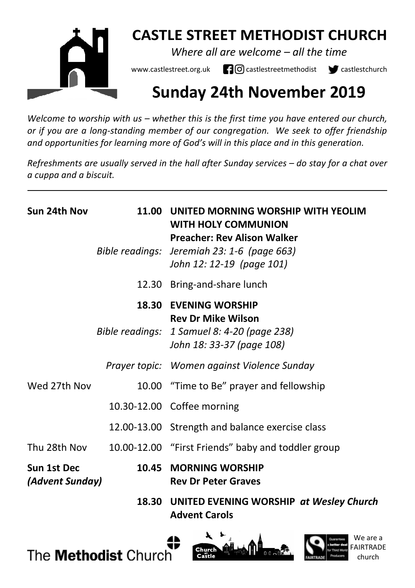

## **CASTLE STREET METHODIST CHURCH**

*Where all are welcome – all the time* 

www.castlestreet.org.uk  $\Box$  O castlestreetmethodist  $\Box$  castlestchurch

# **Sunday 24th November 2019**

*Welcome to worship with us – whether this is the first time you have entered our church, or if you are a long-standing member of our congregation. We seek to offer friendship and opportunities for learning more of God's will in this place and in this generation.* 

*Refreshments are usually served in the hall after Sunday services – do stay for a chat over a cuppa and a biscuit.*

| Sun 24th Nov                   | 11.00 UNITED MORNING WORSHIP WITH YEOLIM<br>WITH HOLY COMMUNION<br><b>Preacher: Rev Alison Walker</b><br>Bible readings: Jeremiah 23: 1-6 (page 663)<br>John 12: 12-19 (page 101) |
|--------------------------------|-----------------------------------------------------------------------------------------------------------------------------------------------------------------------------------|
|                                | 12.30 Bring-and-share lunch                                                                                                                                                       |
|                                | <b>18.30 EVENING WORSHIP</b><br><b>Rev Dr Mike Wilson</b><br>Bible readings: 1 Samuel 8: 4-20 (page 238)<br>John 18: 33-37 (page 108)                                             |
|                                | Prayer topic: Women against Violence Sunday                                                                                                                                       |
| Wed 27th Nov                   | 10.00 "Time to Be" prayer and fellowship                                                                                                                                          |
|                                | 10.30-12.00 Coffee morning                                                                                                                                                        |
|                                | 12.00-13.00 Strength and balance exercise class                                                                                                                                   |
| Thu 28th Nov                   | 10.00-12.00 "First Friends" baby and toddler group                                                                                                                                |
| Sun 1st Dec<br>(Advent Sunday) | 10.45 MORNING WORSHIP<br><b>Rev Dr Peter Graves</b>                                                                                                                               |
|                                | 18.30 UNITED EVENING WORSHIP at Wesley Church<br><b>Advent Carols</b>                                                                                                             |





 $0.0002$ 

church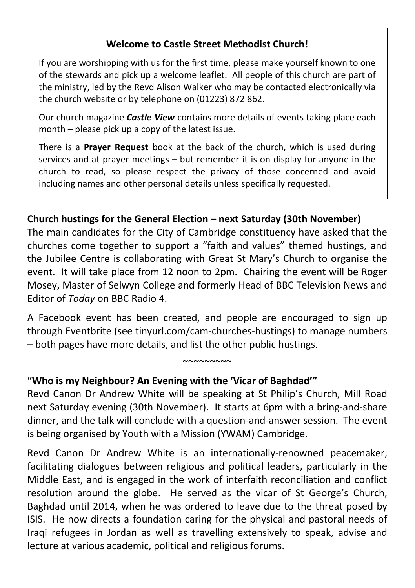### **Welcome to Castle Street Methodist Church!**

If you are worshipping with us for the first time, please make yourself known to one of the stewards and pick up a welcome leaflet. All people of this church are part of the ministry, led by the Revd Alison Walker who may be contacted electronically via the church website or by telephone on (01223) 872 862.

Our church magazine *Castle View* contains more details of events taking place each month – please pick up a copy of the latest issue.

There is a **Prayer Request** book at the back of the church, which is used during services and at prayer meetings – but remember it is on display for anyone in the church to read, so please respect the privacy of those concerned and avoid including names and other personal details unless specifically requested.

#### **Church hustings for the General Election – next Saturday (30th November)**

The main candidates for the City of Cambridge constituency have asked that the churches come together to support a "faith and values" themed hustings, and the Jubilee Centre is collaborating with Great St Mary's Church to organise the event. It will take place from 12 noon to 2pm. Chairing the event will be Roger Mosey, Master of Selwyn College and formerly Head of BBC Television News and Editor of *Today* on BBC Radio 4.

A Facebook event has been created, and people are encouraged to sign up through Eventbrite (see tinyurl.com/cam-churches-hustings) to manage numbers – both pages have more details, and list the other public hustings.

 $~\sim$ ~~~~~~~

#### **"Who is my Neighbour? An Evening with the 'Vicar of Baghdad'"**

Revd Canon Dr Andrew White will be speaking at St Philip's Church, Mill Road next Saturday evening (30th November). It starts at 6pm with a bring-and-share dinner, and the talk will conclude with a question-and-answer session. The event is being organised by Youth with a Mission (YWAM) Cambridge.

Revd Canon Dr Andrew White is an internationally-renowned peacemaker, facilitating dialogues between religious and political leaders, particularly in the Middle East, and is engaged in the work of interfaith reconciliation and conflict resolution around the globe. He served as the vicar of St George's Church, Baghdad until 2014, when he was ordered to leave due to the threat posed by ISIS. He now directs a foundation caring for the physical and pastoral needs of Iraqi refugees in Jordan as well as travelling extensively to speak, advise and lecture at various academic, political and religious forums.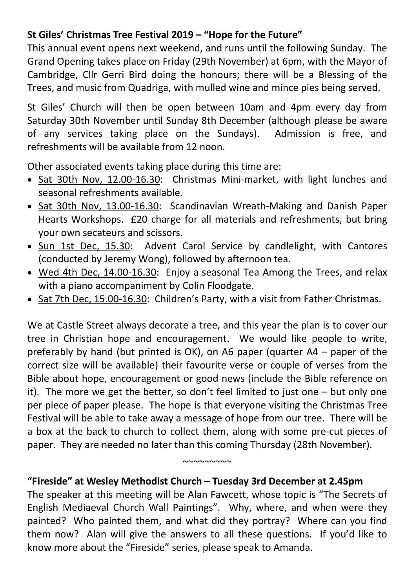## **St Giles' Christmas Tree Festival 2019 – "Hope for the Future"**

This annual event opens next weekend, and runs until the following Sunday. The Grand Opening takes place on Friday (29th November) at 6pm, with the Mayor of Cambridge, Cllr Gerri Bird doing the honours; there will be a Blessing of the Trees, and music from Quadriga, with mulled wine and mince pies being served.

St Giles' Church will then be open between 10am and 4pm every day from Saturday 30th November until Sunday 8th December (although please be aware of any services taking place on the Sundays). Admission is free, and refreshments will be available from 12 noon.

Other associated events taking place during this time are:

- Sat 30th Nov, 12.00-16.30: Christmas Mini-market, with light lunches and seasonal refreshments available.
- Sat 30th Nov, 13.00-16.30: Scandinavian Wreath-Making and Danish Paper Hearts Workshops. £20 charge for all materials and refreshments, but bring your own secateurs and scissors.
- Sun 1st Dec, 15.30: Advent Carol Service by candlelight, with Cantores (conducted by Jeremy Wong), followed by afternoon tea.
- Wed 4th Dec, 14.00-16.30: Enjoy a seasonal Tea Among the Trees, and relax with a piano accompaniment by Colin Floodgate.
- Sat 7th Dec, 15.00-16.30: Children's Party, with a visit from Father Christmas.

We at Castle Street always decorate a tree, and this year the plan is to cover our tree in Christian hope and encouragement. We would like people to write, preferably by hand (but printed is OK), on A6 paper (quarter A4 – paper of the correct size will be available) their favourite verse or couple of verses from the Bible about hope, encouragement or good news (include the Bible reference on it). The more we get the better, so don't feel limited to just one – but only one per piece of paper please. The hope is that everyone visiting the Christmas Tree Festival will be able to take away a message of hope from our tree. There will be a box at the back to church to collect them, along with some pre-cut pieces of paper. They are needed no later than this coming Thursday (28th November).

#### **"Fireside" at Wesley Methodist Church – Tuesday 3rd December at 2.45pm**

The speaker at this meeting will be Alan Fawcett, whose topic is "The Secrets of English Mediaeval Church Wall Paintings". Why, where, and when were they painted? Who painted them, and what did they portray? Where can you find them now? Alan will give the answers to all these questions. If you'd like to know more about the "Fireside" series, please speak to Amanda.

 $~\sim$  $\sim$  $\sim$  $\sim$  $\sim$  $\sim$